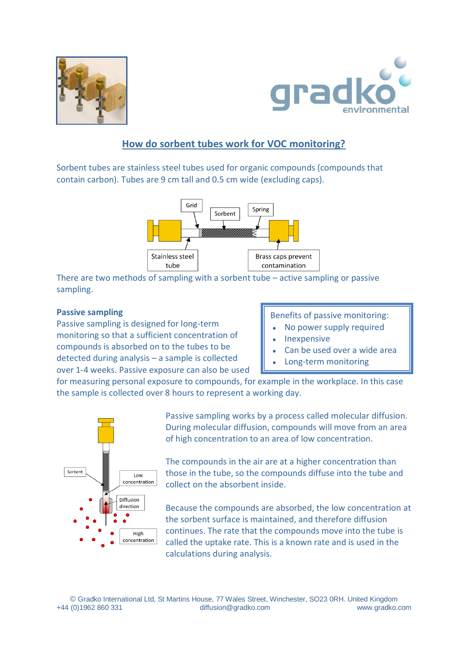



# **How do sorbent tubes work for VOC monitoring?**

Sorbent tubes are stainless steel tubes used for organic compounds (compounds that contain carbon). Tubes are 9 cm tall and 0.5 cm wide (excluding caps).



There are two methods of sampling with a sorbent tube – active sampling or passive sampling.

### **Passive sampling**

Passive sampling is designed for long-term monitoring so that a sufficient concentration of compounds is absorbed on to the tubes to be detected during analysis – a sample is collected over 1-4 weeks. Passive exposure can also be used

## Benefits of passive monitoring:

- No power supply required
- Inexpensive
- Can be used over a wide area
- Long-term monitoring

for measuring personal exposure to compounds, for example in the workplace. In this case the sample is collected over 8 hours to represent a working day.



Passive sampling works by a process called molecular diffusion. During molecular diffusion, compounds will move from an area of high concentration to an area of low concentration.

The compounds in the air are at a higher concentration than those in the tube, so the compounds diffuse into the tube and collect on the absorbent inside.

Because the compounds are absorbed, the low concentration at the sorbent surface is maintained, and therefore diffusion continues. The rate that the compounds move into the tube is called the uptake rate. This is a known rate and is used in the calculations during analysis.